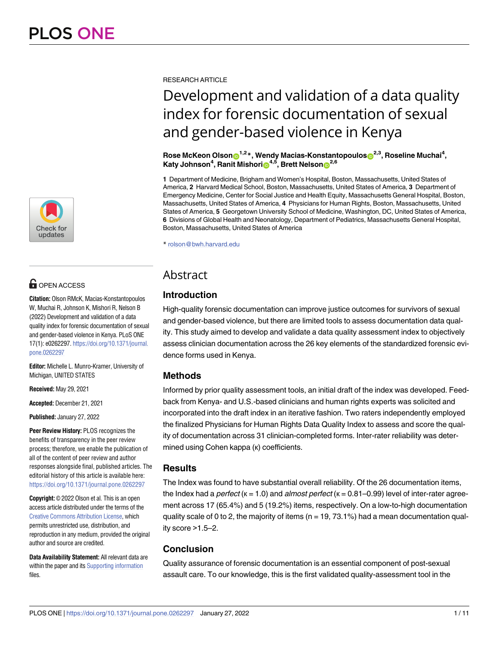

# **OPEN ACCESS**

**Citation:** Olson RMcK, Macias-Konstantopoulos W, Muchai R, Johnson K, Mishori R, Nelson B (2022) Development and validation of a data quality index for forensic documentation of sexual and gender-based violence in Kenya. PLoS ONE 17(1): e0262297. [https://doi.org/10.1371/journal.](https://doi.org/10.1371/journal.pone.0262297) [pone.0262297](https://doi.org/10.1371/journal.pone.0262297)

**Editor:** Michelle L. Munro-Kramer, University of Michigan, UNITED STATES

**Received:** May 29, 2021

**Accepted:** December 21, 2021

**Published:** January 27, 2022

**Peer Review History:** PLOS recognizes the benefits of transparency in the peer review process; therefore, we enable the publication of all of the content of peer review and author responses alongside final, published articles. The editorial history of this article is available here: <https://doi.org/10.1371/journal.pone.0262297>

**Copyright:** © 2022 Olson et al. This is an open access article distributed under the terms of the Creative Commons [Attribution](http://creativecommons.org/licenses/by/4.0/) License, which permits unrestricted use, distribution, and reproduction in any medium, provided the original author and source are credited.

**Data Availability Statement:** All relevant data are within the paper and its Supporting [information](#page-8-0) files.

RESEARCH ARTICLE

# Development and validation of a data quality index for forensic documentation of sexual and gender-based violence in Kenya

 $\mathbf{R}$ ose McKeon Olson $\mathbf{D}^{1,2}$ \*, Wendy Macias-Konstantopoulos $\mathbf{D}^{2,3}$ , Roseline Muchai<sup>4</sup>,  $\mathsf{Katy}\,\mathsf{Johnson}^4,\mathsf{Ranit}\,\mathsf{Mishori}\mathbf{O}^{4,5},\mathsf{Brett}\,\mathsf{Nelson}\mathbf{O}^{2,6}$ 

**1** Department of Medicine, Brigham and Women's Hospital, Boston, Massachusetts, United States of America, **2** Harvard Medical School, Boston, Massachusetts, United States of America, **3** Department of Emergency Medicine, Center for Social Justice and Health Equity, Massachusetts General Hospital, Boston, Massachusetts, United States of America, **4** Physicians for Human Rights, Boston, Massachusetts, United States of America, **5** Georgetown University School of Medicine, Washington, DC, United States of America, **6** Divisions of Global Health and Neonatology, Department of Pediatrics, Massachusetts General Hospital, Boston, Massachusetts, United States of America

\* rolson@bwh.harvard.edu

# **Abstract**

# **Introduction**

High-quality forensic documentation can improve justice outcomes for survivors of sexual and gender-based violence, but there are limited tools to assess documentation data quality. This study aimed to develop and validate a data quality assessment index to objectively assess clinician documentation across the 26 key elements of the standardized forensic evidence forms used in Kenya.

# **Methods**

Informed by prior quality assessment tools, an initial draft of the index was developed. Feedback from Kenya- and U.S.-based clinicians and human rights experts was solicited and incorporated into the draft index in an iterative fashion. Two raters independently employed the finalized Physicians for Human Rights Data Quality Index to assess and score the quality of documentation across 31 clinician-completed forms. Inter-rater reliability was determined using Cohen kappa (к) coefficients.

# **Results**

The Index was found to have substantial overall reliability. Of the 26 documentation items, the Index had a *perfect* ( $k = 1.0$ ) and *almost perfect* ( $k = 0.81 - 0.99$ ) level of inter-rater agreement across 17 (65.4%) and 5 (19.2%) items, respectively. On a low-to-high documentation quality scale of 0 to 2, the majority of items ( $n = 19, 73.1\%$ ) had a mean documentation quality score >1.5–2.

# **Conclusion**

Quality assurance of forensic documentation is an essential component of post-sexual assault care. To our knowledge, this is the first validated quality-assessment tool in the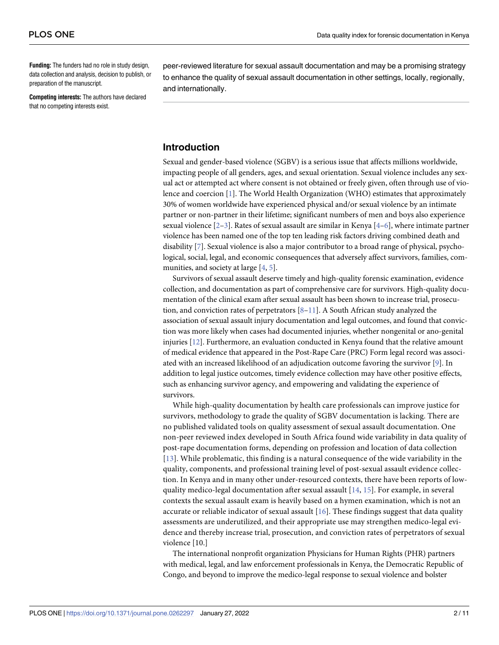<span id="page-1-0"></span>**Funding:** The funders had no role in study design, data collection and analysis, decision to publish, or preparation of the manuscript.

**Competing interests:** The authors have declared that no competing interests exist.

peer-reviewed literature for sexual assault documentation and may be a promising strategy to enhance the quality of sexual assault documentation in other settings, locally, regionally, and internationally.

# **Introduction**

Sexual and gender-based violence (SGBV) is a serious issue that affects millions worldwide, impacting people of all genders, ages, and sexual orientation. Sexual violence includes any sexual act or attempted act where consent is not obtained or freely given, often through use of violence and coercion [\[1](#page-9-0)]. The World Health Organization (WHO) estimates that approximately 30% of women worldwide have experienced physical and/or sexual violence by an intimate partner or non-partner in their lifetime; significant numbers of men and boys also experience sexual violence  $[2-3]$ . Rates of sexual assault are similar in Kenya  $[4-6]$ , where intimate partner violence has been named one of the top ten leading risk factors driving combined death and disability [[7\]](#page-9-0). Sexual violence is also a major contributor to a broad range of physical, psychological, social, legal, and economic consequences that adversely affect survivors, families, communities, and society at large [[4,](#page-9-0) [5\]](#page-9-0).

Survivors of sexual assault deserve timely and high-quality forensic examination, evidence collection, and documentation as part of comprehensive care for survivors. High-quality documentation of the clinical exam after sexual assault has been shown to increase trial, prosecution, and conviction rates of perpetrators  $[8-11]$ . A South African study analyzed the association of sexual assault injury documentation and legal outcomes, and found that conviction was more likely when cases had documented injuries, whether nongenital or ano-genital injuries [[12](#page-9-0)]. Furthermore, an evaluation conducted in Kenya found that the relative amount of medical evidence that appeared in the Post-Rape Care (PRC) Form legal record was associated with an increased likelihood of an adjudication outcome favoring the survivor [\[9\]](#page-9-0). In addition to legal justice outcomes, timely evidence collection may have other positive effects, such as enhancing survivor agency, and empowering and validating the experience of survivors.

While high-quality documentation by health care professionals can improve justice for survivors, methodology to grade the quality of SGBV documentation is lacking. There are no published validated tools on quality assessment of sexual assault documentation. One non-peer reviewed index developed in South Africa found wide variability in data quality of post-rape documentation forms, depending on profession and location of data collection [[13](#page-9-0)]. While problematic, this finding is a natural consequence of the wide variability in the quality, components, and professional training level of post-sexual assault evidence collection. In Kenya and in many other under-resourced contexts, there have been reports of lowquality medico-legal documentation after sexual assault  $[14, 15]$  $[14, 15]$  $[14, 15]$  $[14, 15]$ . For example, in several contexts the sexual assault exam is heavily based on a hymen examination, which is not an accurate or reliable indicator of sexual assault  $[16]$  $[16]$ . These findings suggest that data quality assessments are underutilized, and their appropriate use may strengthen medico-legal evidence and thereby increase trial, prosecution, and conviction rates of perpetrators of sexual violence [10.]

The international nonprofit organization Physicians for Human Rights (PHR) partners with medical, legal, and law enforcement professionals in Kenya, the Democratic Republic of Congo, and beyond to improve the medico-legal response to sexual violence and bolster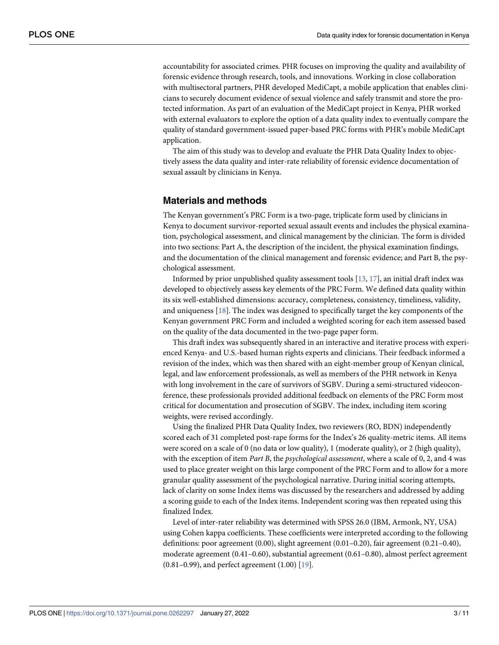<span id="page-2-0"></span>accountability for associated crimes. PHR focuses on improving the quality and availability of forensic evidence through research, tools, and innovations. Working in close collaboration with multisectoral partners, PHR developed MediCapt, a mobile application that enables clinicians to securely document evidence of sexual violence and safely transmit and store the protected information. As part of an evaluation of the MediCapt project in Kenya, PHR worked with external evaluators to explore the option of a data quality index to eventually compare the quality of standard government-issued paper-based PRC forms with PHR's mobile MediCapt application.

The aim of this study was to develop and evaluate the PHR Data Quality Index to objectively assess the data quality and inter-rate reliability of forensic evidence documentation of sexual assault by clinicians in Kenya.

## **Materials and methods**

The Kenyan government's PRC Form is a two-page, triplicate form used by clinicians in Kenya to document survivor-reported sexual assault events and includes the physical examination, psychological assessment, and clinical management by the clinician. The form is divided into two sections: Part A, the description of the incident, the physical examination findings, and the documentation of the clinical management and forensic evidence; and Part B, the psychological assessment.

Informed by prior unpublished quality assessment tools [\[13,](#page-9-0) [17\]](#page-9-0), an initial draft index was developed to objectively assess key elements of the PRC Form. We defined data quality within its six well-established dimensions: accuracy, completeness, consistency, timeliness, validity, and uniqueness [[18](#page-9-0)]. The index was designed to specifically target the key components of the Kenyan government PRC Form and included a weighted scoring for each item assessed based on the quality of the data documented in the two-page paper form.

This draft index was subsequently shared in an interactive and iterative process with experienced Kenya- and U.S.-based human rights experts and clinicians. Their feedback informed a revision of the index, which was then shared with an eight-member group of Kenyan clinical, legal, and law enforcement professionals, as well as members of the PHR network in Kenya with long involvement in the care of survivors of SGBV. During a semi-structured videoconference, these professionals provided additional feedback on elements of the PRC Form most critical for documentation and prosecution of SGBV. The index, including item scoring weights, were revised accordingly.

Using the finalized PHR Data Quality Index, two reviewers (RO, BDN) independently scored each of 31 completed post-rape forms for the Index's 26 quality-metric items. All items were scored on a scale of 0 (no data or low quality), 1 (moderate quality), or 2 (high quality), with the exception of item *Part B*, the *psychological assessment*, where a scale of 0, 2, and 4 was used to place greater weight on this large component of the PRC Form and to allow for a more granular quality assessment of the psychological narrative. During initial scoring attempts, lack of clarity on some Index items was discussed by the researchers and addressed by adding a scoring guide to each of the Index items. Independent scoring was then repeated using this finalized Index.

Level of inter-rater reliability was determined with SPSS 26.0 (IBM, Armonk, NY, USA) using Cohen kappa coefficients. These coefficients were interpreted according to the following definitions: poor agreement (0.00), slight agreement (0.01–0.20), fair agreement (0.21–0.40), moderate agreement (0.41–0.60), substantial agreement (0.61–0.80), almost perfect agreement (0.81–0.99), and perfect agreement (1.00) [[19](#page-10-0)].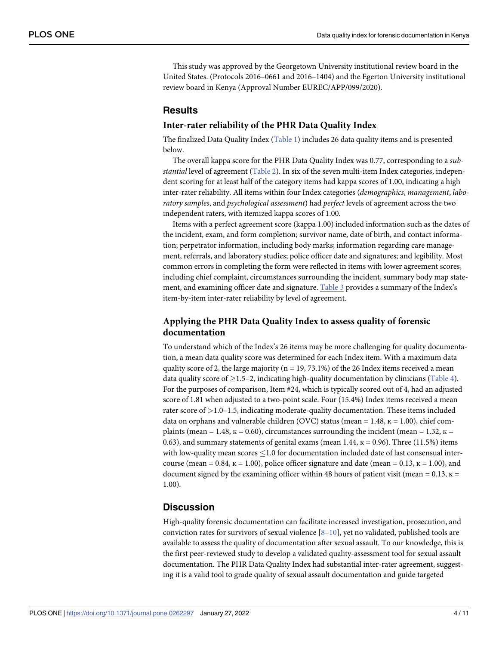<span id="page-3-0"></span>This study was approved by the Georgetown University institutional review board in the United States. (Protocols 2016–0661 and 2016–1404) and the Egerton University institutional review board in Kenya (Approval Number EUREC/APP/099/2020).

## **Results**

#### **Inter-rater reliability of the PHR Data Quality Index**

The finalized Data Quality Index [\(Table](#page-4-0) 1) includes 26 data quality items and is presented below.

The overall kappa score for the PHR Data Quality Index was 0.77, corresponding to a *substantial* level of agreement ([Table](#page-6-0) 2). In six of the seven multi-item Index categories, independent scoring for at least half of the category items had kappa scores of 1.00, indicating a high inter-rater reliability. All items within four Index categories (*demographics*, *management*, *laboratory samples*, and *psychological assessment*) had *perfect* levels of agreement across the two independent raters, with itemized kappa scores of 1.00.

Items with a perfect agreement score (kappa 1.00) included information such as the dates of the incident, exam, and form completion; survivor name, date of birth, and contact information; perpetrator information, including body marks; information regarding care management, referrals, and laboratory studies; police officer date and signatures; and legibility. Most common errors in completing the form were reflected in items with lower agreement scores, including chief complaint, circumstances surrounding the incident, summary body map statement, and examining officer date and signature. [Table](#page-7-0) 3 provides a summary of the Index's item-by-item inter-rater reliability by level of agreement.

# **Applying the PHR Data Quality Index to assess quality of forensic documentation**

To understand which of the Index's 26 items may be more challenging for quality documentation, a mean data quality score was determined for each Index item. With a maximum data quality score of 2, the large majority ( $n = 19, 73.1\%$ ) of the 26 Index items received a mean data quality score of  $\geq$ 1.5–2, indicating high-quality documentation by clinicians [\(Table](#page-7-0) 4). For the purposes of comparison, Item #24, which is typically scored out of 4, had an adjusted score of 1.81 when adjusted to a two-point scale. Four (15.4%) Index items received a mean rater score of *>*1.0–1.5, indicating moderate-quality documentation. These items included data on orphans and vulnerable children (OVC) status (mean =  $1.48$ ,  $\kappa = 1.00$ ), chief complaints (mean = 1.48,  $\kappa$  = 0.60), circumstances surrounding the incident (mean = 1.32,  $\kappa$  = 0.63), and summary statements of genital exams (mean  $1.44$ ,  $\kappa = 0.96$ ). Three (11.5%) items with low-quality mean scores  $\leq$  1.0 for documentation included date of last consensual intercourse (mean =  $0.84$ ,  $\kappa$  = 1.00), police officer signature and date (mean =  $0.13$ ,  $\kappa$  = 1.00), and document signed by the examining officer within 48 hours of patient visit (mean =  $0.13$ ,  $\kappa$  = 1.00).

# **Discussion**

High-quality forensic documentation can facilitate increased investigation, prosecution, and conviction rates for survivors of sexual violence  $[8-10]$ , yet no validated, published tools are available to assess the quality of documentation after sexual assault. To our knowledge, this is the first peer-reviewed study to develop a validated quality-assessment tool for sexual assault documentation. The PHR Data Quality Index had substantial inter-rater agreement, suggesting it is a valid tool to grade quality of sexual assault documentation and guide targeted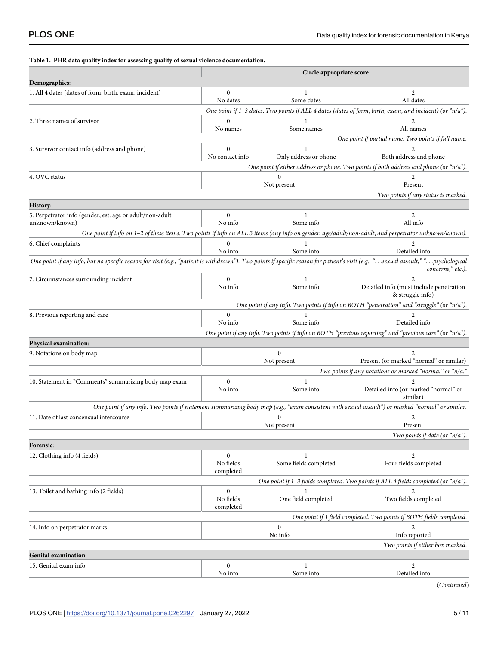#### <span id="page-4-0"></span>**[Table](#page-3-0) 1. PHR data quality index for assessing quality of sexual violence documentation.**

|                                                                                                                                                                                                          |                                            | Circle appropriate score        |                                                                                                                                                  |  |  |  |  |
|----------------------------------------------------------------------------------------------------------------------------------------------------------------------------------------------------------|--------------------------------------------|---------------------------------|--------------------------------------------------------------------------------------------------------------------------------------------------|--|--|--|--|
| Demographics:                                                                                                                                                                                            |                                            |                                 |                                                                                                                                                  |  |  |  |  |
| 1. All 4 dates (dates of form, birth, exam, incident)                                                                                                                                                    | $\Omega$<br>1<br>Some dates<br>No dates    |                                 | 2<br>All dates                                                                                                                                   |  |  |  |  |
| One point if 1-3 dates. Two points if ALL 4 dates (dates of form, birth, exam, and incident) (or " $n/a$ ").                                                                                             |                                            |                                 |                                                                                                                                                  |  |  |  |  |
| 2. Three names of survivor                                                                                                                                                                               | No names                                   | Some names                      | 2<br>All names                                                                                                                                   |  |  |  |  |
|                                                                                                                                                                                                          |                                            |                                 | One point if partial name. Two points if full name.                                                                                              |  |  |  |  |
| 3. Survivor contact info (address and phone)                                                                                                                                                             | $\Omega$<br>No contact info                | Only address or phone           | Both address and phone                                                                                                                           |  |  |  |  |
|                                                                                                                                                                                                          |                                            |                                 | One point if either address or phone. Two points if both address and phone (or "n/a").                                                           |  |  |  |  |
| 4. OVC status                                                                                                                                                                                            |                                            | 0<br>Not present                | 2<br>Present                                                                                                                                     |  |  |  |  |
|                                                                                                                                                                                                          |                                            |                                 | Two points if any status is marked.                                                                                                              |  |  |  |  |
| History:                                                                                                                                                                                                 |                                            |                                 |                                                                                                                                                  |  |  |  |  |
| 5. Perpetrator info (gender, est. age or adult/non-adult,<br>unknown/known)                                                                                                                              | $\Omega$<br>No info                        | 1<br>Some info                  | $\overline{2}$<br>All info                                                                                                                       |  |  |  |  |
| One point if info on 1-2 of these items. Two points if info on ALL 3 items (any info on gender, age/adult/non-adult, and perpetrator unknown/known).                                                     |                                            |                                 |                                                                                                                                                  |  |  |  |  |
| 6. Chief complaints                                                                                                                                                                                      | $\Omega$<br>No info                        | Some info                       | 2<br>Detailed info                                                                                                                               |  |  |  |  |
| One point if any info, but no specific reason for visit (e.g., "patient is withdrawn"). Two points if specific reason for patient's visit (e.g., " sexual assault," " psychological<br>concerns," etc.). |                                            |                                 |                                                                                                                                                  |  |  |  |  |
| 7. Circumstances surrounding incident                                                                                                                                                                    | $\mathbf{0}$<br>No info                    | 1<br>Some info                  | $\mathfrak{D}$<br>Detailed info (must include penetration<br>& struggle info)                                                                    |  |  |  |  |
|                                                                                                                                                                                                          |                                            |                                 | One point if any info. Two points if info on BOTH "penetration" and "struggle" (or "n/a").                                                       |  |  |  |  |
| 8. Previous reporting and care                                                                                                                                                                           | $\mathbf{0}$<br>No info                    | Some info                       | Detailed info                                                                                                                                    |  |  |  |  |
|                                                                                                                                                                                                          |                                            |                                 | One point if any info. Two points if info on BOTH "previous reporting" and "previous care" (or "n/a").                                           |  |  |  |  |
| Physical examination:                                                                                                                                                                                    |                                            |                                 |                                                                                                                                                  |  |  |  |  |
| 9. Notations on body map                                                                                                                                                                                 |                                            | $\boldsymbol{0}$<br>Not present | Present (or marked "normal" or similar)                                                                                                          |  |  |  |  |
|                                                                                                                                                                                                          |                                            |                                 | Two points if any notations or marked "normal" or "n/a."                                                                                         |  |  |  |  |
| 10. Statement in "Comments" summarizing body map exam                                                                                                                                                    | $\mathbf{0}$<br>No info                    | $\mathbf{1}$<br>Some info       | Detailed info (or marked "normal" or<br>similar)                                                                                                 |  |  |  |  |
|                                                                                                                                                                                                          |                                            |                                 | One point if any info. Two points if statement summarizing body map (e.g., "exam consistent with sexual assault") or marked "normal" or similar. |  |  |  |  |
| 11. Date of last consensual intercourse                                                                                                                                                                  |                                            | 0<br>Not present                | 2<br>Present                                                                                                                                     |  |  |  |  |
|                                                                                                                                                                                                          |                                            |                                 | Two points if date (or "n/a").                                                                                                                   |  |  |  |  |
| Forensic:                                                                                                                                                                                                |                                            |                                 |                                                                                                                                                  |  |  |  |  |
| 12. Clothing info (4 fields)                                                                                                                                                                             | $\mathbf{0}$<br>No fields<br>completed     | 1<br>Some fields completed      | $\overline{2}$<br>Four fields completed                                                                                                          |  |  |  |  |
|                                                                                                                                                                                                          |                                            |                                 | One point if $1-3$ fields completed. Two points if ALL 4 fields completed (or " $n/a$ ").                                                        |  |  |  |  |
| 13. Toilet and bathing info (2 fields)                                                                                                                                                                   | $\boldsymbol{0}$<br>No fields<br>completed | 1<br>One field completed        | $\overline{2}$<br>Two fields completed                                                                                                           |  |  |  |  |
|                                                                                                                                                                                                          |                                            |                                 | One point if 1 field completed. Two points if BOTH fields completed.                                                                             |  |  |  |  |
| 14. Info on perpetrator marks                                                                                                                                                                            |                                            | 2<br>Info reported              |                                                                                                                                                  |  |  |  |  |
|                                                                                                                                                                                                          |                                            |                                 | Two points if either box marked.                                                                                                                 |  |  |  |  |
| <b>Genital examination:</b>                                                                                                                                                                              |                                            |                                 |                                                                                                                                                  |  |  |  |  |
| 15. Genital exam info                                                                                                                                                                                    | $\mathbf{0}$<br>No info                    | Some info                       | $\overline{2}$<br>Detailed info                                                                                                                  |  |  |  |  |
|                                                                                                                                                                                                          |                                            |                                 | (Continued)                                                                                                                                      |  |  |  |  |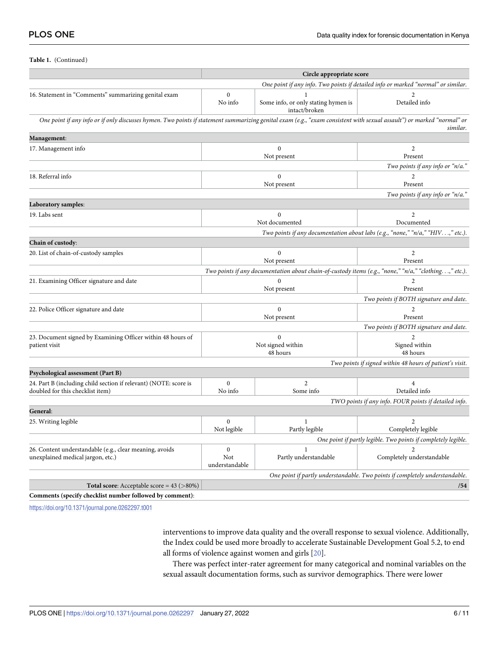<span id="page-5-0"></span>**Table 1.** (Continued)

|                                                                                                                                                                        | Circle appropriate score                                                          |                                                      |                                                                                                       |  |  |
|------------------------------------------------------------------------------------------------------------------------------------------------------------------------|-----------------------------------------------------------------------------------|------------------------------------------------------|-------------------------------------------------------------------------------------------------------|--|--|
|                                                                                                                                                                        | One point if any info. Two points if detailed info or marked "normal" or similar. |                                                      |                                                                                                       |  |  |
| 16. Statement in "Comments" summarizing genital exam                                                                                                                   | $\boldsymbol{0}$<br>No info                                                       | Some info, or only stating hymen is<br>intact/broken | Detailed info                                                                                         |  |  |
| One point if any info or if only discusses hymen. Two points if statement summarizing genital exam (e.g., "exam consistent with sexual assault") or marked "normal" or |                                                                                   |                                                      | similar.                                                                                              |  |  |
| Management:                                                                                                                                                            |                                                                                   |                                                      |                                                                                                       |  |  |
| 17. Management info                                                                                                                                                    |                                                                                   | $\boldsymbol{0}$<br>Not present                      | $\overline{2}$<br>Present                                                                             |  |  |
|                                                                                                                                                                        |                                                                                   |                                                      | Two points if any info or "n/a."                                                                      |  |  |
| 18. Referral info                                                                                                                                                      |                                                                                   | $\boldsymbol{0}$<br>Not present                      | $\overline{2}$<br>Present                                                                             |  |  |
|                                                                                                                                                                        |                                                                                   |                                                      | Two points if any info or "n/a."                                                                      |  |  |
| Laboratory samples:                                                                                                                                                    |                                                                                   |                                                      |                                                                                                       |  |  |
| 19. Labs sent                                                                                                                                                          |                                                                                   | $\boldsymbol{0}$<br>Not documented                   | $\mathbf{2}$<br>Documented                                                                            |  |  |
|                                                                                                                                                                        |                                                                                   |                                                      | Two points if any documentation about labs (e.g., "none," "n/a," "HIV," etc.).                        |  |  |
| Chain of custody:                                                                                                                                                      |                                                                                   |                                                      |                                                                                                       |  |  |
| 20. List of chain-of-custody samples                                                                                                                                   |                                                                                   | $\mathbf{0}$<br>Not present                          | $\overline{2}$<br>Present                                                                             |  |  |
|                                                                                                                                                                        |                                                                                   |                                                      | Two points if any documentation about chain-of-custody items (e.g., "none," "n/a," "clothing," etc.). |  |  |
| 21. Examining Officer signature and date                                                                                                                               | $\mathbf{0}$<br>Not present                                                       |                                                      | $\overline{2}$<br>Present                                                                             |  |  |
|                                                                                                                                                                        |                                                                                   |                                                      | Two points if BOTH signature and date.                                                                |  |  |
| 22. Police Officer signature and date                                                                                                                                  | $\mathbf{0}$<br>Not present                                                       |                                                      | $\overline{2}$<br>Present                                                                             |  |  |
|                                                                                                                                                                        |                                                                                   |                                                      | Two points if BOTH signature and date.                                                                |  |  |
| 23. Document signed by Examining Officer within 48 hours of<br>patient visit                                                                                           | $\theta$<br>Not signed within<br>48 hours                                         |                                                      | $\mathfrak{D}$<br>Signed within<br>48 hours                                                           |  |  |
|                                                                                                                                                                        |                                                                                   |                                                      | Two points if signed within 48 hours of patient's visit.                                              |  |  |
| Psychological assessment (Part B)                                                                                                                                      |                                                                                   |                                                      |                                                                                                       |  |  |
| 24. Part B (including child section if relevant) (NOTE: score is<br>doubled for this checklist item)                                                                   | $\boldsymbol{0}$<br>No info                                                       | $\overline{c}$<br>Some info                          | $\overline{4}$<br>Detailed info                                                                       |  |  |
|                                                                                                                                                                        |                                                                                   |                                                      | TWO points if any info. FOUR points if detailed info.                                                 |  |  |
| General:                                                                                                                                                               |                                                                                   |                                                      |                                                                                                       |  |  |
| 25. Writing legible                                                                                                                                                    | $\mathbf{0}$<br>Not legible                                                       | 1<br>Partly legible                                  | 2<br>Completely legible                                                                               |  |  |
| One point if partly legible. Two points if completely legible.                                                                                                         |                                                                                   |                                                      |                                                                                                       |  |  |
| 26. Content understandable (e.g., clear meaning, avoids<br>unexplained medical jargon, etc.)                                                                           | $\boldsymbol{0}$<br>Not<br>understandable                                         | 1<br>Partly understandable                           | Completely understandable                                                                             |  |  |
|                                                                                                                                                                        |                                                                                   |                                                      | One point if partly understandable. Two points if completely understandable.                          |  |  |
| <b>Total score:</b> Acceptable score = $43$ ( $>80\%$ )                                                                                                                |                                                                                   |                                                      | /54                                                                                                   |  |  |
| Comments (specify checklist number followed by comment):                                                                                                               |                                                                                   |                                                      |                                                                                                       |  |  |

<https://doi.org/10.1371/journal.pone.0262297.t001>

interventions to improve data quality and the overall response to sexual violence. Additionally, the Index could be used more broadly to accelerate Sustainable Development Goal 5.2, to end all forms of violence against women and girls [[20](#page-10-0)].

There was perfect inter-rater agreement for many categorical and nominal variables on the sexual assault documentation forms, such as survivor demographics. There were lower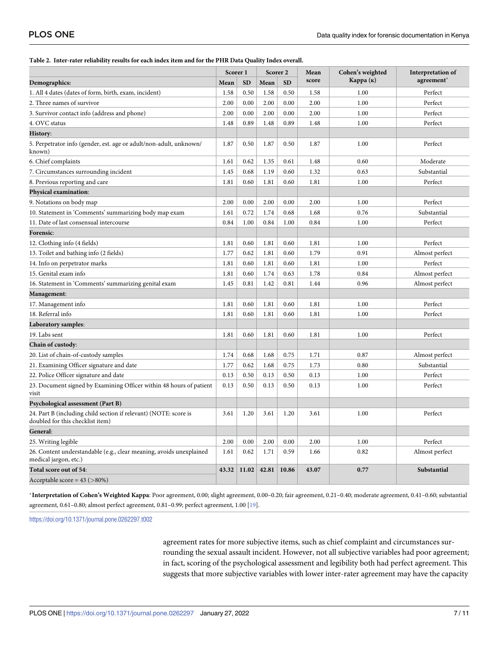#### <span id="page-6-0"></span>**[Table](#page-3-0) 2. Inter-rater reliability results for each index item and for the PHR Data Quality Index overall.**

|                                                                                                      | Scorer 1 |           | Scorer <sub>2</sub> |           | Mean  | Cohen's weighted | Interpretation of |
|------------------------------------------------------------------------------------------------------|----------|-----------|---------------------|-----------|-------|------------------|-------------------|
| Demographics:                                                                                        | Mean     | <b>SD</b> | Mean                | <b>SD</b> | score | Карра (к)        | agreement*        |
| 1. All 4 dates (dates of form, birth, exam, incident)                                                | 1.58     | 0.50      | 1.58                | 0.50      | 1.58  | 1.00             | Perfect           |
| 2. Three names of survivor                                                                           | 2.00     | 0.00      | 2.00                | 0.00      | 2.00  | 1.00             | Perfect           |
| 3. Survivor contact info (address and phone)                                                         | 2.00     | 0.00      | 2.00                | 0.00      | 2.00  | 1.00             | Perfect           |
| 4. OVC status                                                                                        | 1.48     | 0.89      | 1.48                | 0.89      | 1.48  | 1.00             | Perfect           |
| <b>History:</b>                                                                                      |          |           |                     |           |       |                  |                   |
| 5. Perpetrator info (gender, est. age or adult/non-adult, unknown/<br>known)                         | 1.87     | 0.50      | 1.87                | 0.50      | 1.87  | 1.00             | Perfect           |
| 6. Chief complaints                                                                                  | 1.61     | 0.62      | 1.35                | 0.61      | 1.48  | 0.60             | Moderate          |
| 7. Circumstances surrounding incident                                                                | 1.45     | 0.68      | 1.19                | 0.60      | 1.32  | 0.63             | Substantial       |
| 8. Previous reporting and care                                                                       | 1.81     | 0.60      | 1.81                | 0.60      | 1.81  | 1.00             | Perfect           |
| Physical examination:                                                                                |          |           |                     |           |       |                  |                   |
| 9. Notations on body map                                                                             | 2.00     | 0.00      | 2.00                | 0.00      | 2.00  | 1.00             | Perfect           |
| 10. Statement in 'Comments' summarizing body map exam                                                | 1.61     | 0.72      | 1.74                | 0.68      | 1.68  | 0.76             | Substantial       |
| 11. Date of last consensual intercourse                                                              | 0.84     | 1.00      | 0.84                | 1.00      | 0.84  | 1.00             | Perfect           |
| <b>Forensic:</b>                                                                                     |          |           |                     |           |       |                  |                   |
| 12. Clothing info (4 fields)                                                                         | 1.81     | 0.60      | 1.81                | 0.60      | 1.81  | 1.00             | Perfect           |
| 13. Toilet and bathing info (2 fields)                                                               | 1.77     | 0.62      | 1.81                | 0.60      | 1.79  | 0.91             | Almost perfect    |
| 14. Info on perpetrator marks                                                                        | 1.81     | 0.60      | 1.81                | 0.60      | 1.81  | 1.00             | Perfect           |
| 15. Genital exam info                                                                                | 1.81     | 0.60      | 1.74                | 0.63      | 1.78  | 0.84             | Almost perfect    |
| 16. Statement in 'Comments' summarizing genital exam                                                 | 1.45     | 0.81      | 1.42                | 0.81      | 1.44  | 0.96             | Almost perfect    |
| <b>Management:</b>                                                                                   |          |           |                     |           |       |                  |                   |
| 17. Management info                                                                                  | 1.81     | 0.60      | 1.81                | 0.60      | 1.81  | 1.00             | Perfect           |
| 18. Referral info                                                                                    | 1.81     | 0.60      | 1.81                | 0.60      | 1.81  | 1.00             | Perfect           |
| Laboratory samples:                                                                                  |          |           |                     |           |       |                  |                   |
| 19. Labs sent                                                                                        | 1.81     | 0.60      | 1.81                | 0.60      | 1.81  | 1.00             | Perfect           |
| <b>Chain of custody:</b>                                                                             |          |           |                     |           |       |                  |                   |
| 20. List of chain-of-custody samples                                                                 | 1.74     | 0.68      | 1.68                | 0.75      | 1.71  | 0.87             | Almost perfect    |
| 21. Examining Officer signature and date                                                             | 1.77     | 0.62      | 1.68                | 0.75      | 1.73  | 0.80             | Substantial       |
| 22. Police Officer signature and date                                                                | 0.13     | 0.50      | 0.13                | 0.50      | 0.13  | 1.00             | Perfect           |
| 23. Document signed by Examining Officer within 48 hours of patient<br>visit                         | 0.13     | 0.50      | 0.13                | 0.50      | 0.13  | 1.00             | Perfect           |
| Psychological assessment (Part B)                                                                    |          |           |                     |           |       |                  |                   |
| 24. Part B (including child section if relevant) (NOTE: score is<br>doubled for this checklist item) | 3.61     | 1.20      | 3.61                | 1.20      | 3.61  | 1.00             | Perfect           |
| General:                                                                                             |          |           |                     |           |       |                  |                   |
| 25. Writing legible                                                                                  | 2.00     | 0.00      | 2.00                | 0.00      | 2.00  | 1.00             | Perfect           |
| 26. Content understandable (e.g., clear meaning, avoids unexplained<br>medical jargon, etc.)         | 1.61     | 0.62      | 1.71                | 0.59      | 1.66  | 0.82             | Almost perfect    |
| Total score out of 54:                                                                               | 43.32    | 11.02     | 42.81               | 10.86     | 43.07 | 0.77             | Substantial       |
| Acceptable score = $43$ ( $>80\%$ )                                                                  |          |           |                     |           |       |                  |                   |

�**Interpretation of Cohen's Weighted Kappa**: Poor agreement, 0.00; slight agreement, 0.00–0.20; fair agreement, 0.21–0.40; moderate agreement, 0.41–0.60; substantial agreement, 0.61–0.80; almost perfect agreement, 0.81–0.99; perfect agreement, 1.00 [\[19\]](#page-10-0).

<https://doi.org/10.1371/journal.pone.0262297.t002>

agreement rates for more subjective items, such as chief complaint and circumstances surrounding the sexual assault incident. However, not all subjective variables had poor agreement; in fact, scoring of the psychological assessment and legibility both had perfect agreement. This suggests that more subjective variables with lower inter-rater agreement may have the capacity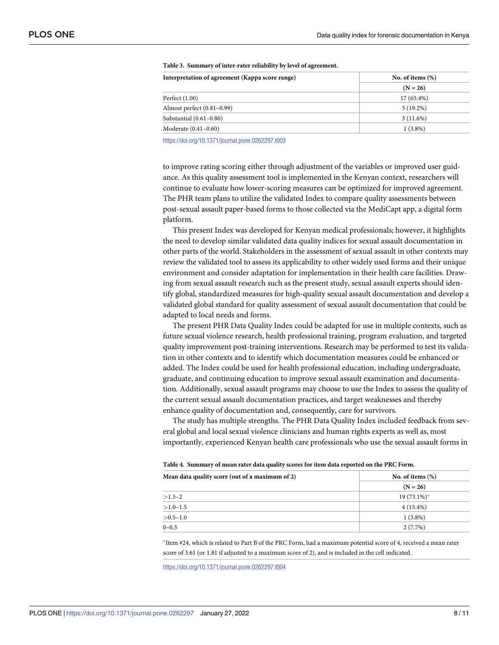| No. of items $(\%)$ |  |  |
|---------------------|--|--|
| $(N = 26)$          |  |  |
| $17(65.4\%)$        |  |  |
| $5(19.2\%)$         |  |  |
| 3(11.6%)            |  |  |
| $1(3.8\%)$          |  |  |
|                     |  |  |

#### <span id="page-7-0"></span>**[Table](#page-3-0) 3. Summary of inter-rater reliability by level of agreement.**

<https://doi.org/10.1371/journal.pone.0262297.t003>

to improve rating scoring either through adjustment of the variables or improved user guidance. As this quality assessment tool is implemented in the Kenyan context, researchers will continue to evaluate how lower-scoring measures can be optimized for improved agreement. The PHR team plans to utilize the validated Index to compare quality assessments between post-sexual assault paper-based forms to those collected via the MediCapt app, a digital form platform.

This present Index was developed for Kenyan medical professionals; however, it highlights the need to develop similar validated data quality indices for sexual assault documentation in other parts of the world. Stakeholders in the assessment of sexual assault in other contexts may review the validated tool to assess its applicability to other widely used forms and their unique environment and consider adaptation for implementation in their health care facilities. Drawing from sexual assault research such as the present study, sexual assault experts should identify global, standardized measures for high-quality sexual assault documentation and develop a validated global standard for quality assessment of sexual assault documentation that could be adapted to local needs and forms.

The present PHR Data Quality Index could be adapted for use in multiple contexts, such as future sexual violence research, health professional training, program evaluation, and targeted quality improvement post-training interventions. Research may be performed to test its validation in other contexts and to identify which documentation measures could be enhanced or added. The Index could be used for health professional education, including undergraduate, graduate, and continuing education to improve sexual assault examination and documentation. Additionally, sexual assault programs may choose to use the Index to assess the quality of the current sexual assault documentation practices, and target weaknesses and thereby enhance quality of documentation and, consequently, care for survivors.

The study has multiple strengths. The PHR Data Quality Index included feedback from several global and local sexual violence clinicians and human rights experts as well as, most importantly, experienced Kenyan health care professionals who use the sexual assault forms in

|  |  | Table 4. Summary of mean rater data quality scores for item data reported on the PRC Form. |
|--|--|--------------------------------------------------------------------------------------------|
|  |  |                                                                                            |

| Mean data quality score (out of a maximum of 2) | No. of items $(\%)$ |
|-------------------------------------------------|---------------------|
|                                                 | $(N = 26)$          |
| $>1.5-2$                                        | $19(73.1\%)^*$      |
| $>1.0-1.5$                                      | $4(15.4\%)$         |
| $>0.5-1.0$                                      | $1(3.8\%)$          |
| $0 - 0.5$                                       | 2(7.7%)             |

�Item #24, which is related to Part B of the PRC Form, had a maximum potential score of 4, received a mean rater score of 3.61 (or 1.81 if adjusted to a maximum score of 2), and is included in the cell indicated.

<https://doi.org/10.1371/journal.pone.0262297.t004>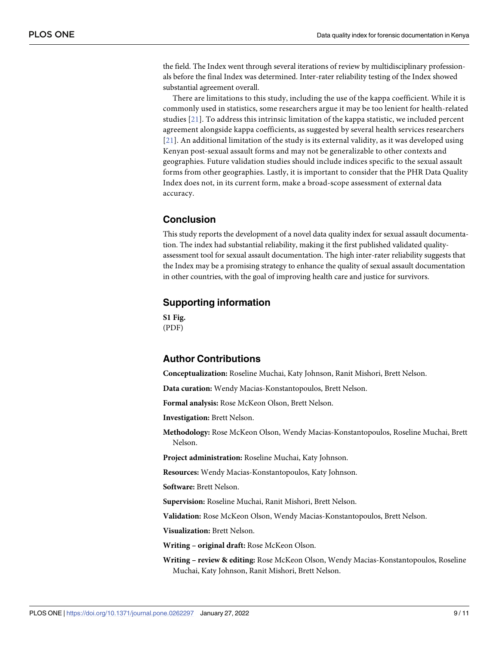<span id="page-8-0"></span>the field. The Index went through several iterations of review by multidisciplinary professionals before the final Index was determined. Inter-rater reliability testing of the Index showed substantial agreement overall.

There are limitations to this study, including the use of the kappa coefficient. While it is commonly used in statistics, some researchers argue it may be too lenient for health-related studies [[21](#page-10-0)]. To address this intrinsic limitation of the kappa statistic, we included percent agreement alongside kappa coefficients, as suggested by several health services researchers [[21](#page-10-0)]. An additional limitation of the study is its external validity, as it was developed using Kenyan post-sexual assault forms and may not be generalizable to other contexts and geographies. Future validation studies should include indices specific to the sexual assault forms from other geographies. Lastly, it is important to consider that the PHR Data Quality Index does not, in its current form, make a broad-scope assessment of external data accuracy.

# **Conclusion**

This study reports the development of a novel data quality index for sexual assault documentation. The index had substantial reliability, making it the first published validated qualityassessment tool for sexual assault documentation. The high inter-rater reliability suggests that the Index may be a promising strategy to enhance the quality of sexual assault documentation in other countries, with the goal of improving health care and justice for survivors.

# **Supporting information**

**S1 [Fig](http://www.plosone.org/article/fetchSingleRepresentation.action?uri=info:doi/10.1371/journal.pone.0262297.s001).** (PDF)

# **Author Contributions**

**Conceptualization:** Roseline Muchai, Katy Johnson, Ranit Mishori, Brett Nelson.

**Data curation:** Wendy Macias-Konstantopoulos, Brett Nelson.

**Formal analysis:** Rose McKeon Olson, Brett Nelson.

**Investigation:** Brett Nelson.

**Methodology:** Rose McKeon Olson, Wendy Macias-Konstantopoulos, Roseline Muchai, Brett Nelson.

**Project administration:** Roseline Muchai, Katy Johnson.

**Resources:** Wendy Macias-Konstantopoulos, Katy Johnson.

**Software:** Brett Nelson.

**Supervision:** Roseline Muchai, Ranit Mishori, Brett Nelson.

**Validation:** Rose McKeon Olson, Wendy Macias-Konstantopoulos, Brett Nelson.

**Visualization:** Brett Nelson.

**Writing – original draft:** Rose McKeon Olson.

**Writing – review & editing:** Rose McKeon Olson, Wendy Macias-Konstantopoulos, Roseline Muchai, Katy Johnson, Ranit Mishori, Brett Nelson.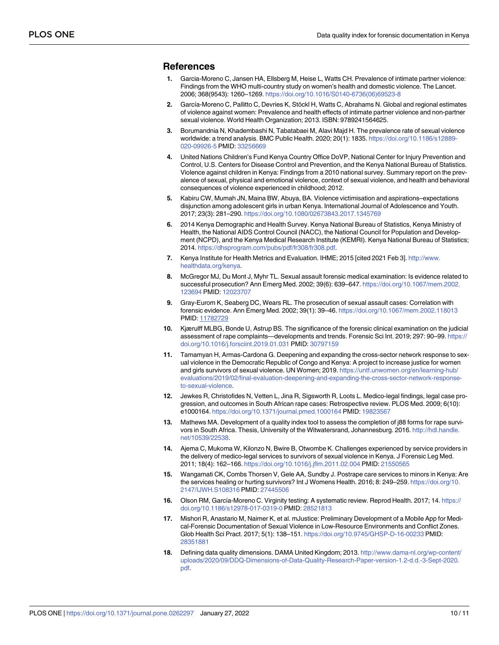## <span id="page-9-0"></span>**References**

- **[1](#page-1-0).** Garcia-Moreno C, Jansen HA, Ellsberg M, Heise L, Watts CH. Prevalence of intimate partner violence: Findings from the WHO multi-country study on women's health and domestic violence. The Lancet. 2006; 368(9543): 1260–1269. [https://doi.org/10.1016/S0140-6736\(06\)69523-8](https://doi.org/10.1016/S0140-6736%2806%2969523-8)
- **[2](#page-1-0).** García-Moreno C, Pallitto C, Devries K, Stöckl H, Watts C, Abrahams N. Global and regional estimates of violence against women: Prevalence and health effects of intimate partner violence and non-partner sexual violence. World Health Organization; 2013. ISBN: 9789241564625.
- **[3](#page-1-0).** Borumandnia N, Khadembashi N, Tabatabaei M, Alavi Majd H. The prevalence rate of sexual violence worldwide: a trend analysis. BMC Public Health. 2020; 20(1): 1835. [https://doi.org/10.1186/s12889-](https://doi.org/10.1186/s12889-020-09926-5) [020-09926-5](https://doi.org/10.1186/s12889-020-09926-5) PMID: [33256669](http://www.ncbi.nlm.nih.gov/pubmed/33256669)
- **[4](#page-1-0).** United Nations Children's Fund Kenya Country Office DoVP, National Center for Injury Prevention and Control, U.S. Centers for Disease Control and Prevention, and the Kenya National Bureau of Statistics. Violence against children in Kenya: Findings from a 2010 national survey. Summary report on the prevalence of sexual, physical and emotional violence, context of sexual violence, and health and behavioral consequences of violence experienced in childhood; 2012.
- **[5](#page-1-0).** Kabiru CW, Mumah JN, Maina BW, Abuya, BA. Violence victimisation and aspirations–expectations disjunction among adolescent girls in urban Kenya. International Journal of Adolescence and Youth. 2017; 23(3): 281–290. <https://doi.org/10.1080/02673843.2017.1345769>
- **[6](#page-1-0).** 2014 Kenya Demographic and Health Survey. Kenya National Bureau of Statistics, Kenya Ministry of Health, the National AIDS Control Council (NACC), the National Council for Population and Development (NCPD), and the Kenya Medical Research Institute (KEMRI). Kenya National Bureau of Statistics; 2014. <https://dhsprogram.com/pubs/pdf/fr308/fr308.pdf>.
- **[7](#page-1-0).** Kenya Institute for Health Metrics and Evaluation. IHME; 2015 [cited 2021 Feb 3]. [http://www.](http://www.healthdata.org/kenya) [healthdata.org/kenya.](http://www.healthdata.org/kenya)
- **[8](#page-1-0).** McGregor MJ, Du Mont J, Myhr TL. Sexual assault forensic medical examination: Is evidence related to successful prosecution? Ann Emerg Med. 2002; 39(6): 639–647. [https://doi.org/10.1067/mem.2002.](https://doi.org/10.1067/mem.2002.123694) [123694](https://doi.org/10.1067/mem.2002.123694) PMID: [12023707](http://www.ncbi.nlm.nih.gov/pubmed/12023707)
- **[9](#page-1-0).** Gray-Eurom K, Seaberg DC, Wears RL. The prosecution of sexual assault cases: Correlation with forensic evidence. Ann Emerg Med. 2002; 39(1): 39–46. <https://doi.org/10.1067/mem.2002.118013> PMID: [11782729](http://www.ncbi.nlm.nih.gov/pubmed/11782729)
- **[10](#page-3-0).** Kjærulff MLBG, Bonde U, Astrup BS. The significance of the forensic clinical examination on the judicial assessment of rape complaints—developments and trends. Forensic Sci Int. 2019; 297: 90–99. [https://](https://doi.org/10.1016/j.forsciint.2019.01.031) [doi.org/10.1016/j.forsciint.2019.01.031](https://doi.org/10.1016/j.forsciint.2019.01.031) PMID: [30797159](http://www.ncbi.nlm.nih.gov/pubmed/30797159)
- **[11](#page-1-0).** Tamamyan H, Armas-Cardona G. Deepening and expanding the cross-sector network response to sexual violence in the Democratic Republic of Congo and Kenya: A project to increase justice for women and girls survivors of sexual violence. UN Women; 2019. [https://untf.unwomen.org/en/learning-hub/](https://untf.unwomen.org/en/learning-hub/evaluations/2019/02/final-evaluation-deepening-and-expanding-the-cross-sector-network-response-to-sexual-violence) [evaluations/2019/02/final-evaluation-deepening-and-expanding-the-cross-sector-network-response](https://untf.unwomen.org/en/learning-hub/evaluations/2019/02/final-evaluation-deepening-and-expanding-the-cross-sector-network-response-to-sexual-violence)[to-sexual-violence.](https://untf.unwomen.org/en/learning-hub/evaluations/2019/02/final-evaluation-deepening-and-expanding-the-cross-sector-network-response-to-sexual-violence)
- **[12](#page-1-0).** Jewkes R, Christofides N, Vetten L, Jina R, Sigsworth R, Loots L. Medico-legal findings, legal case progression, and outcomes in South African rape cases: Retrospective review. PLOS Med. 2009; 6(10): e1000164. <https://doi.org/10.1371/journal.pmed.1000164> PMID: [19823567](http://www.ncbi.nlm.nih.gov/pubmed/19823567)
- **[13](#page-2-0).** Mathews MA. Development of a quality index tool to assess the completion of j88 forms for rape survivors in South Africa. Thesis, University of the Witwatersrand, Johannesburg. 2016. [http://hdl.handle.](http://hdl.handle.net/10539/22538) [net/10539/22538](http://hdl.handle.net/10539/22538).
- **[14](#page-1-0).** Ajema C, Mukoma W, Kilonzo N, Bwire B, Otwombe K. Challenges experienced by service providers in the delivery of medico-legal services to survivors of sexual violence in Kenya. J Forensic Leg Med. 2011; 18(4): 162–166. <https://doi.org/10.1016/j.jflm.2011.02.004> PMID: [21550565](http://www.ncbi.nlm.nih.gov/pubmed/21550565)
- **[15](#page-1-0).** Wangamati CK, Combs Thorsen V, Gele AA, Sundby J. Postrape care services to minors in Kenya: Are the services healing or hurting survivors? Int J Womens Health. 2016; 8: 249–259. [https://doi.org/10.](https://doi.org/10.2147/IJWH.S108316) [2147/IJWH.S108316](https://doi.org/10.2147/IJWH.S108316) PMID: [27445506](http://www.ncbi.nlm.nih.gov/pubmed/27445506)
- **[16](#page-1-0).** Olson RM, García-Moreno C. Virginity testing: A systematic review. Reprod Health. 2017; 14. [https://](https://doi.org/10.1186/s12978-017-0319-0) [doi.org/10.1186/s12978-017-0319-0](https://doi.org/10.1186/s12978-017-0319-0) PMID: [28521813](http://www.ncbi.nlm.nih.gov/pubmed/28521813)
- **[17](#page-2-0).** Mishori R, Anastario M, Naimer K, et al. mJustice: Preliminary Development of a Mobile App for Medical-Forensic Documentation of Sexual Violence in Low-Resource Environments and Conflict Zones. Glob Health Sci Pract. 2017; 5(1): 138–151. <https://doi.org/10.9745/GHSP-D-16-00233> PMID: [28351881](http://www.ncbi.nlm.nih.gov/pubmed/28351881)
- **[18](#page-2-0).** Defining data quality dimensions. DAMA United Kingdom; 2013. [http://www.dama-nl.org/wp-content/](http://www.dama-nl.org/wp-content/uploads/2020/09/DDQ-Dimensions-of-Data-Quality-Research-Paper-version-1.2-d.d.-3-Sept-2020.pdf) [uploads/2020/09/DDQ-Dimensions-of-Data-Quality-Research-Paper-version-1.2-d.d.-3-Sept-2020.](http://www.dama-nl.org/wp-content/uploads/2020/09/DDQ-Dimensions-of-Data-Quality-Research-Paper-version-1.2-d.d.-3-Sept-2020.pdf) [pdf](http://www.dama-nl.org/wp-content/uploads/2020/09/DDQ-Dimensions-of-Data-Quality-Research-Paper-version-1.2-d.d.-3-Sept-2020.pdf).